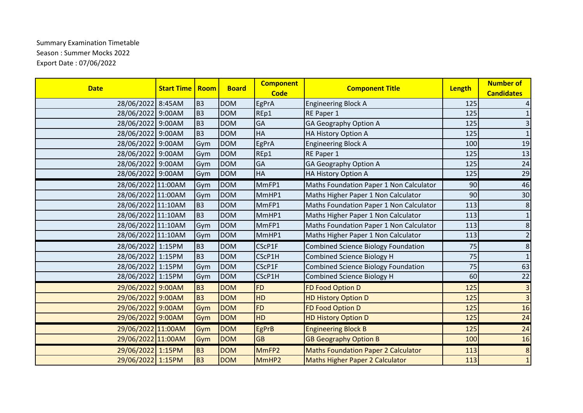## Summary Examination Timetable Season : Summer Mocks 2022 Export Date : 07/06/2022

| <b>Date</b>        | <b>Start Time</b> | Room           | <b>Board</b> | <b>Component</b><br><b>Code</b> | <b>Component Title</b>                     | Length | <b>Number of</b><br><b>Candidates</b> |
|--------------------|-------------------|----------------|--------------|---------------------------------|--------------------------------------------|--------|---------------------------------------|
| 28/06/2022 8:45AM  |                   | B <sub>3</sub> | <b>DOM</b>   | EgPrA                           | <b>Engineering Block A</b>                 | 125    | 4                                     |
| 28/06/2022 9:00AM  |                   | B <sub>3</sub> | <b>DOM</b>   | REp1                            | RE Paper 1                                 | 125    | $\mathbf{1}$                          |
| 28/06/2022 9:00AM  |                   | B <sub>3</sub> | <b>DOM</b>   | GA                              | <b>GA Geography Option A</b>               | 125    | $\mathsf{3}$                          |
| 28/06/2022 9:00AM  |                   | B <sub>3</sub> | <b>DOM</b>   | HA                              | HA History Option A                        | 125    | $\mathbf 1$                           |
| 28/06/2022 9:00AM  |                   | Gym            | <b>DOM</b>   | EgPrA                           | <b>Engineering Block A</b>                 | 100    | 19                                    |
| 28/06/2022 9:00AM  |                   | Gym            | <b>DOM</b>   | REp1                            | RE Paper 1                                 | 125    | 13                                    |
| 28/06/2022 9:00AM  |                   | Gym            | <b>DOM</b>   | GA                              | <b>GA Geography Option A</b>               | 125    | 24                                    |
| 28/06/2022 9:00AM  |                   | Gym            | <b>DOM</b>   | HA                              | HA History Option A                        | 125    | 29                                    |
| 28/06/2022 11:00AM |                   | Gym            | <b>DOM</b>   | MmFP1                           | Maths Foundation Paper 1 Non Calculator    | 90     | 46                                    |
| 28/06/2022 11:00AM |                   | Gym            | <b>DOM</b>   | MmHP1                           | Maths Higher Paper 1 Non Calculator        | 90     | 30                                    |
| 28/06/2022 11:10AM |                   | B <sub>3</sub> | <b>DOM</b>   | MmFP1                           | Maths Foundation Paper 1 Non Calculator    | 113    | $\bf 8$                               |
| 28/06/2022 11:10AM |                   | B <sub>3</sub> | <b>DOM</b>   | MmHP1                           | Maths Higher Paper 1 Non Calculator        | 113    | $\mathbf 1$                           |
| 28/06/2022 11:10AM |                   | Gym            | <b>DOM</b>   | MmFP1                           | Maths Foundation Paper 1 Non Calculator    | 113    | $\bf 8$                               |
| 28/06/2022 11:10AM |                   | Gym            | <b>DOM</b>   | MmHP1                           | Maths Higher Paper 1 Non Calculator        | 113    | $\overline{2}$                        |
| 28/06/2022 1:15PM  |                   | B <sub>3</sub> | <b>DOM</b>   | CScP1F                          | <b>Combined Science Biology Foundation</b> | 75     | 8                                     |
| 28/06/2022 1:15PM  |                   | B <sub>3</sub> | <b>DOM</b>   | CScP1H                          | Combined Science Biology H                 | 75     | $\mathbf 1$                           |
| 28/06/2022 1:15PM  |                   | Gym            | <b>DOM</b>   | CScP1F                          | <b>Combined Science Biology Foundation</b> | 75     | 63                                    |
| 28/06/2022 1:15PM  |                   | Gym            | <b>DOM</b>   | CScP1H                          | Combined Science Biology H                 | 60     | $22$                                  |
| 29/06/2022 9:00AM  |                   | <b>B3</b>      | <b>DOM</b>   | <b>FD</b>                       | FD Food Option D                           | 125    | $\overline{3}$                        |
| 29/06/2022 9:00AM  |                   | <b>B3</b>      | <b>DOM</b>   | <b>HD</b>                       | <b>HD History Option D</b>                 | 125    | $\overline{3}$                        |
| 29/06/2022 9:00AM  |                   | Gym            | <b>DOM</b>   | <b>FD</b>                       | FD Food Option D                           | 125    | 16                                    |
| 29/06/2022 9:00AM  |                   | Gym            | <b>DOM</b>   | HD                              | <b>HD History Option D</b>                 | 125    | 24                                    |
| 29/06/2022 11:00AM |                   | Gym            | <b>DOM</b>   | <b>EgPrB</b>                    | <b>Engineering Block B</b>                 | 125    | 24                                    |
| 29/06/2022 11:00AM |                   | Gym            | <b>DOM</b>   | <b>GB</b>                       | <b>GB Geography Option B</b>               | 100    | 16                                    |
| 29/06/2022 1:15PM  |                   | <b>B3</b>      | <b>DOM</b>   | MmFP2                           | <b>Maths Foundation Paper 2 Calculator</b> | 113    | 8                                     |
| 29/06/2022 1:15PM  |                   | <b>B3</b>      | <b>DOM</b>   | MmHP <sub>2</sub>               | <b>Maths Higher Paper 2 Calculator</b>     | 113    | $\mathbf 1$                           |